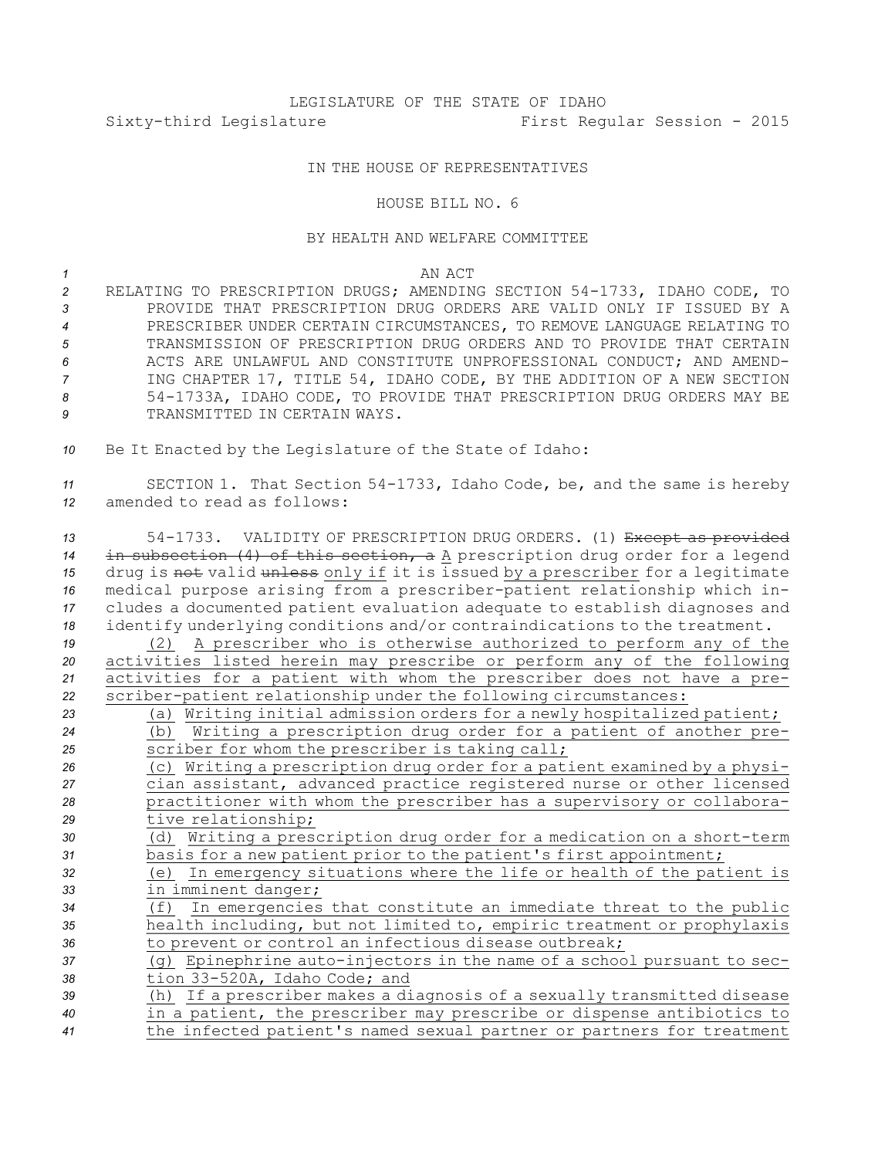## LEGISLATURE OF THE STATE OF IDAHO Sixty-third Legislature First Regular Session - 2015

## IN THE HOUSE OF REPRESENTATIVES

## HOUSE BILL NO. 6

## BY HEALTH AND WELFARE COMMITTEE

*1* AN ACT

- *<sup>2</sup>* RELATING TO PRESCRIPTION DRUGS; AMENDING SECTION 54-1733, IDAHO CODE, TO *3* PROVIDE THAT PRESCRIPTION DRUG ORDERS ARE VALID ONLY IF ISSUED BY A *4* PRESCRIBER UNDER CERTAIN CIRCUMSTANCES, TO REMOVE LANGUAGE RELATING TO *5* TRANSMISSION OF PRESCRIPTION DRUG ORDERS AND TO PROVIDE THAT CERTAIN *6* ACTS ARE UNLAWFUL AND CONSTITUTE UNPROFESSIONAL CONDUCT; AND AMEND-*<sup>7</sup>* ING CHAPTER 17, TITLE 54, IDAHO CODE, BY THE ADDITION OF A NEW SECTION *<sup>8</sup>* 54-1733A, IDAHO CODE, TO PROVIDE THAT PRESCRIPTION DRUG ORDERS MAY BE **9** TRANSMITTED IN CERTAIN WAYS.
- *<sup>10</sup>* Be It Enacted by the Legislature of the State of Idaho:

*<sup>11</sup>* SECTION 1. That Section 54-1733, Idaho Code, be, and the same is hereby *12* amended to read as follows:

 54-1733. VALIDITY OF PRESCRIPTION DRUG ORDERS. (1) Except as provided in subsection (4) of this section, <sup>a</sup> <sup>A</sup> prescription drug order for <sup>a</sup> legend drug is not valid unless only if it is issued by <sup>a</sup> prescriber for <sup>a</sup> legitimate medical purpose arising from <sup>a</sup> prescriber-patient relationship which in- cludes <sup>a</sup> documented patient evaluation adequate to establish diagnoses and identify underlying conditions and/or contraindications to the treatment. (2) <sup>A</sup> prescriber who is otherwise authorized to perform any of the activities listed herein may prescribe or perform any of the following activities for <sup>a</sup> patient with whom the prescriber does not have <sup>a</sup> pre- scriber-patient relationship under the following circumstances: (a) Writing initial admission orders for <sup>a</sup> newly hospitalized patient; (b) Writing <sup>a</sup> prescription drug order for <sup>a</sup> patient of another pre- scriber for whom the prescriber is taking call; (c) Writing <sup>a</sup> prescription drug order for <sup>a</sup> patient examined by <sup>a</sup> physi- cian assistant, advanced practice registered nurse or other licensed practitioner with whom the prescriber has <sup>a</sup> supervisory or collabora- tive relationship; (d) Writing <sup>a</sup> prescription drug order for <sup>a</sup> medication on <sup>a</sup> short-term basis for <sup>a</sup> new patient prior to the patient's first appointment; (e) In emergency situations where the life or health of the patient is in imminent danger; (f) In emergencies that constitute an immediate threat to the public health including, but not limited to, empiric treatment or prophylaxis to prevent or control an infectious disease outbreak; (g) Epinephrine auto-injectors in the name of <sup>a</sup> school pursuant to sec- tion 33-520A, Idaho Code; and (h) If <sup>a</sup> prescriber makes <sup>a</sup> diagnosis of <sup>a</sup> sexually transmitted disease in <sup>a</sup> patient, the prescriber may prescribe or dispense antibiotics to the infected patient's named sexual partner or partners for treatment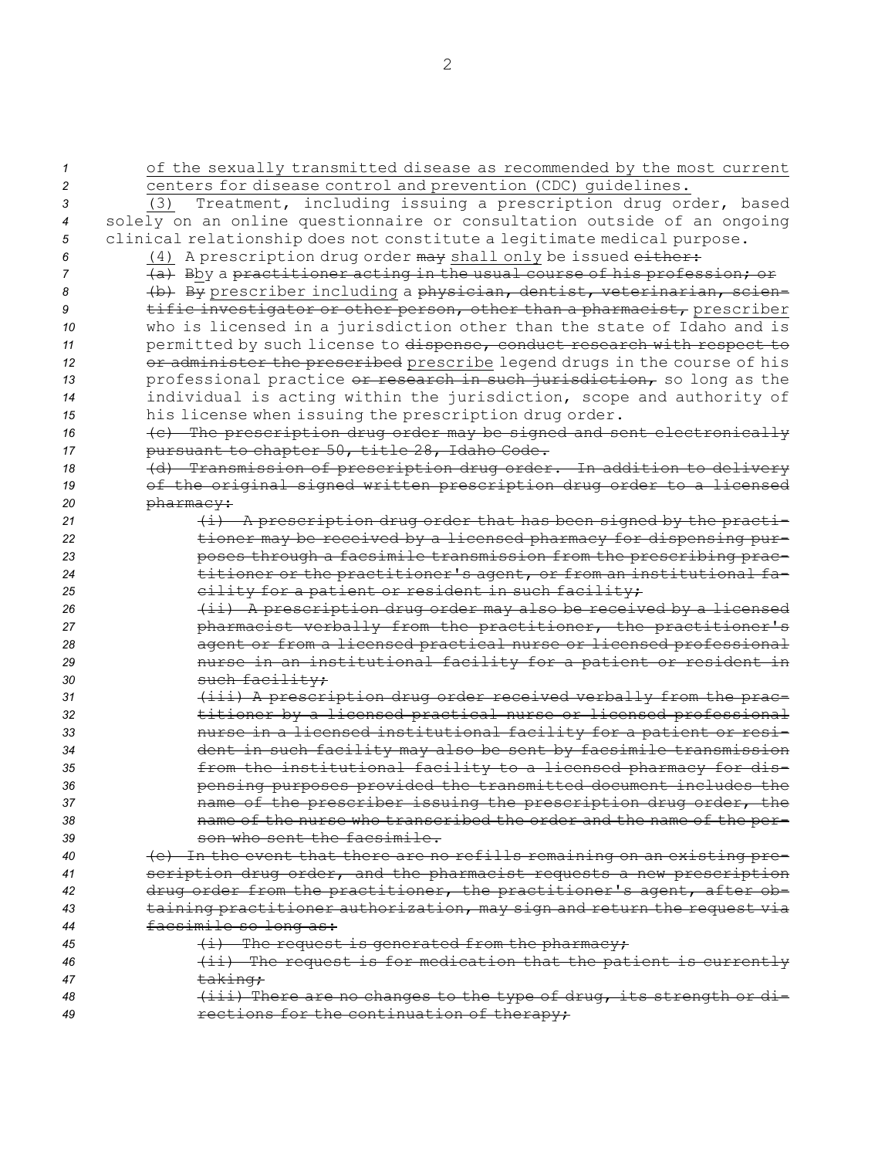| 1              | of the sexually transmitted disease as recommended by the most current   |
|----------------|--------------------------------------------------------------------------|
| 2              | centers for disease control and prevention (CDC) quidelines.             |
| 3              | Treatment, including issuing a prescription drug order, based<br>(3)     |
| $\overline{4}$ | solely on an online questionnaire or consultation outside of an ongoing  |
| 5              | clinical relationship does not constitute a legitimate medical purpose.  |
| 6              | (4) A prescription drug order may shall only be issued either:           |
| 7              | (a) Bby a practitioner acting in the usual course of his profession; or  |
| 8              | (b) By prescriber including a physician, dentist, veterinarian, scien-   |
| 9              | tific investigator or other person, other than a pharmacist, prescriber  |
| 10             | who is licensed in a jurisdiction other than the state of Idaho and is   |
| 11             | permitted by such license to dispense, conduct research with respect to  |
| 12             | or administer the prescribed prescribe legend drugs in the course of his |
| 13             | professional practice or research in such jurisdiction, so long as the   |
| 14             | individual is acting within the jurisdiction, scope and authority of     |
| 15             | his license when issuing the prescription drug order.                    |
| 16             | (c) The prescription drug order may be signed and sent electronically    |
| 17             | pursuant to chapter 50, title 28, Idaho Code.                            |
| 18             | (d) Transmission of prescription drug order. In addition to delivery     |
| 19             | of the original signed written prescription drug order to a licensed     |
| 20             | pharmacy:                                                                |
| 21             | (i) A prescription drug order that has been signed by the practi-        |
| 22             | tioner may be received by a licensed pharmacy for dispensing pur-        |
| 23             | poses through a facsimile transmission from the prescribing prac-        |
| 24             | titioner or the practitioner's agent, or from an institutional fa-       |
| 25             | eility for a patient or resident in such facility;                       |
| 26             | (ii) A prescription drug order may also be received by a licensed        |
| 27             | pharmacist verbally from the practitioner, the practitioner's            |
| 28             | agent or from a licensed practical nurse or licensed professional        |
| 29             | nurse in an institutional facility for a patient or resident in          |
| 30             | such facility;                                                           |
| 31             | (iii) A prescription drug order received verbally from the prac-         |
| 32             | titioner by a licensed practical nurse or licensed professional          |
| 33             | nurse in a licensed institutional facility for a patient or resi-        |
| 34             | dent in such facility may also be sent by facsimile transmission         |
| 35             | from the institutional facility to a licensed pharmacy for dis-          |
| 36             | pensing purposes provided the transmitted document includes the          |
| 37             | name of the prescriber issuing the prescription drug order, the          |
| 38             | name of the nurse who transcribed the order and the name of the per-     |
| 39             | son who sent the facsimile.                                              |
| 40             | (e) In the event that there are no refills remaining on an existing pre- |
| 41             | scription drug order, and the pharmacist requests a new prescription     |
| 42             | drug order from the practitioner, the practitioner's agent, after ob-    |
| 43             | taining practitioner authorization, may sign and return the request via  |
| 44             | facsimile so long as:                                                    |
| 45             | $(i)$ The request is generated from the pharmacy;                        |
| 46             | (ii) The request is for medication that the patient is currently         |
| 47             | <del>taking;</del>                                                       |
| 48             | (iii) There are no changes to the type of drug, its strength or di-      |
| 49             | rections for the continuation of therapy;                                |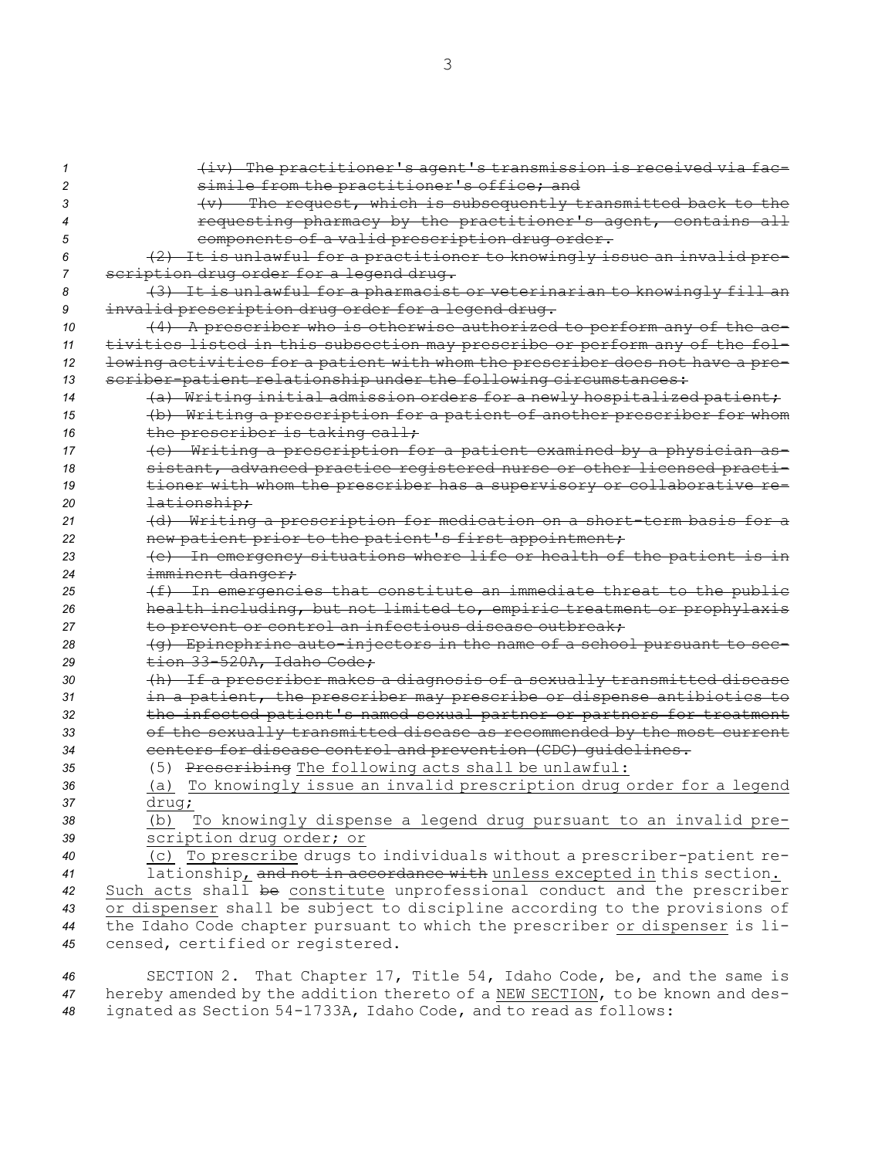(iv) The practitioner's agent's transmission is received via fac- simile from the practitioner's office; and (v) The request, which is subsequently transmitted back to the requesting pharmacy by the practitioner's agent, contains all components of <sup>a</sup> valid prescription drug order. (2) It is unlawful for <sup>a</sup> practitioner to knowingly issue an invalid pre- scription drug order for <sup>a</sup> legend drug. (3) It is unlawful for <sup>a</sup> pharmacist or veterinarian to knowingly fill an invalid prescription drug order for <sup>a</sup> legend drug. (4) <sup>A</sup> prescriber who is otherwise authorized to perform any of the ac- tivities listed in this subsection may prescribe or perform any of the fol- lowing activities for <sup>a</sup> patient with whom the prescriber does not have <sup>a</sup> pre- scriber-patient relationship under the following circumstances: (a) Writing initial admission orders for <sup>a</sup> newly hospitalized patient; (b) Writing <sup>a</sup> prescription for <sup>a</sup> patient of another prescriber for whom 16 the prescriber is taking call; (c) Writing <sup>a</sup> prescription for <sup>a</sup> patient examined by <sup>a</sup> physician as- sistant, advanced practice registered nurse or other licensed practi- tioner with whom the prescriber has <sup>a</sup> supervisory or collaborative re- lationship; (d) Writing <sup>a</sup> prescription for medication on <sup>a</sup> short-term basis for <sup>a</sup> new patient prior to the patient's first appointment; (e) In emergency situations where life or health of the patient is in imminent danger; (f) In emergencies that constitute an immediate threat to the public health including, but not limited to, empiric treatment or prophylaxis to prevent or control an infectious disease outbreak; (g) Epinephrine auto-injectors in the name of <sup>a</sup> school pursuant to sec- tion 33-520A, Idaho Code; (h) If <sup>a</sup> prescriber makes <sup>a</sup> diagnosis of <sup>a</sup> sexually transmitted disease in <sup>a</sup> patient, the prescriber may prescribe or dispense antibiotics to the infected patient's named sexual partner or partners for treatment of the sexually transmitted disease as recommended by the most current centers for disease control and prevention (CDC) guidelines. (5) Prescribing The following acts shall be unlawful: (a) To knowingly issue an invalid prescription drug order for <sup>a</sup> legend *<sup>37</sup>* drug; (b) To knowingly dispense <sup>a</sup> legend drug pursuant to an invalid pre- scription drug order; or (c) To prescribe drugs to individuals without <sup>a</sup> prescriber-patient re- lationship, and not in accordance with unless excepted in this section. Such acts shall be constitute unprofessional conduct and the prescriber or dispenser shall be subject to discipline according to the provisions of the Idaho Code chapter pursuant to which the prescriber or dispenser is li-censed, certified or registered.

*<sup>46</sup>* SECTION 2. That Chapter 17, Title 54, Idaho Code, be, and the same is *<sup>47</sup>* hereby amended by the addition thereto of <sup>a</sup> NEW SECTION, to be known and des-*<sup>48</sup>* ignated as Section 54-1733A, Idaho Code, and to read as follows: